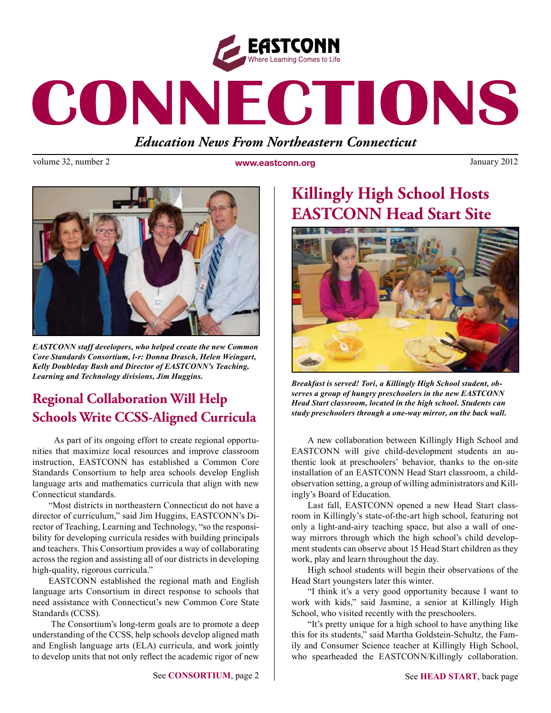

# CONNECTIONS

*Education News From Northeastern Connecticut*

volume 32, number 2 **www.eastconn.org** January 2012



*EASTCONN staff developers, who helped create the new Common Core Standards Consortium, l-r: Donna Drasch, Helen Weingart, Kelly Doubleday Bush and Director of EASTCONN's Teaching, Learning and Technology divisions, Jim Huggins.* 

## **Regional Collaboration Will Help Schools Write CCSS-Aligned Curricula**

 As part of its ongoing effort to create regional opportunities that maximize local resources and improve classroom instruction, EASTCONN has established a Common Core Standards Consortium to help area schools develop English language arts and mathematics curricula that align with new Connecticut standards.

"Most districts in northeastern Connecticut do not have a director of curriculum," said Jim Huggins, EASTCONN's Director of Teaching, Learning and Technology, "so the responsibility for developing curricula resides with building principals and teachers. This Consortium provides a way of collaborating across the region and assisting all of our districts in developing high-quality, rigorous curricula."

EASTCONN established the regional math and English language arts Consortium in direct response to schools that need assistance with Connecticut's new Common Core State Standards (CCSS).

 The Consortium's long-term goals are to promote a deep understanding of the CCSS, help schools develop aligned math and English language arts (ELA) curricula, and work jointly to develop units that not only refect the academic rigor of new

# **Killingly High School Hosts EASTCONN Head Start Site**



*Breakfast is served! Tori, a Killingly High School student, observes a group of hungry preschoolers in the new EASTCONN Head Start classroom, located in the high school. Students can study preschoolers through a one-way mirror, on the back wall.* 

A new collaboration between Killingly High School and EASTCONN will give child-development students an authentic look at preschoolers' behavior, thanks to the on-site installation of an EASTCONN Head Start classroom, a childobservation setting, a group of willing administrators and Killingly's Board of Education.

Last fall, EASTCONN opened a new Head Start classroom in Killingly's state-of-the-art high school, featuring not only a light-and-airy teaching space, but also a wall of oneway mirrors through which the high school's child development students can observe about 15 Head Start children as they work, play and learn throughout the day.

High school students will begin their observations of the Head Start youngsters later this winter.

"I think it's a very good opportunity because I want to work with kids," said Jasmine, a senior at Killingly High School, who visited recently with the preschoolers.

"It's pretty unique for a high school to have anything like this for its students," said Martha Goldstein-Schultz, the Family and Consumer Science teacher at Killingly High School, who spearheaded the EASTCONN/Killingly collaboration.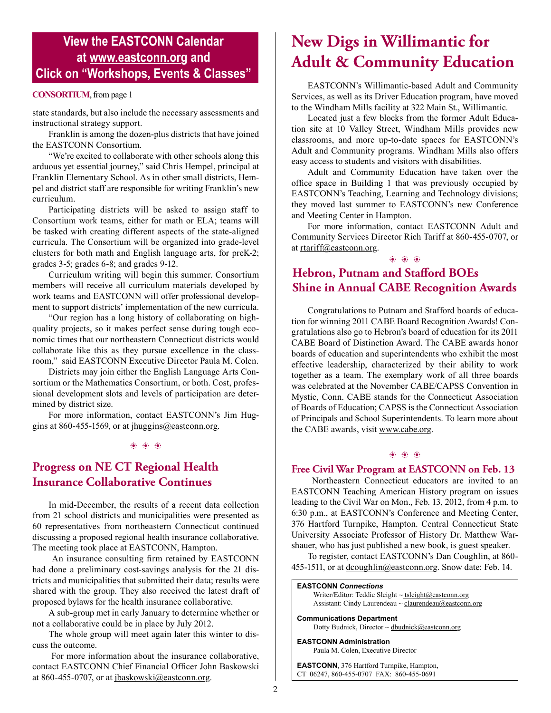## **View the EASTCONN Calendar at <www.eastconn.org> and Click on "Workshops, Events & Classes"**

#### **CONSORTIUM**, from page 1

state standards, but also include the necessary assessments and instructional strategy support.

Franklin is among the dozen-plus districts that have joined the EASTCONN Consortium.

"We're excited to collaborate with other schools along this arduous yet essential journey," said Chris Hempel, principal at Franklin Elementary School. As in other small districts, Hempel and district staff are responsible for writing Franklin's new curriculum.

Participating districts will be asked to assign staff to Consortium work teams, either for math or ELA; teams will be tasked with creating different aspects of the state-aligned curricula. The Consortium will be organized into grade-level clusters for both math and English language arts, for preK-2; grades 3-5; grades 6-8; and grades 9-12.

Curriculum writing will begin this summer. Consortium members will receive all curriculum materials developed by work teams and EASTCONN will offer professional development to support districts' implementation of the new curricula.

"Our region has a long history of collaborating on highquality projects, so it makes perfect sense during tough economic times that our northeastern Connecticut districts would collaborate like this as they pursue excellence in the classroom," said EASTCONN Executive Director Paula M. Colen.

Districts may join either the English Language Arts Consortium or the Mathematics Consortium, or both. Cost, professional development slots and levels of participation are determined by district size.

For more information, contact EASTCONN's Jim Huggins at 860-455-1569, or at [jhuggins@eastconn.org.](mailto:jhuggins%40eastconn.org?subject=)

 $\circledast$   $\circledast$ 

### **Progress on NE CT Regional Health Insurance Collaborative Continues**

In mid-December, the results of a recent data collection from 21 school districts and municipalities were presented as 60 representatives from northeastern Connecticut continued discussing a proposed regional health insurance collaborative. The meeting took place at EASTCONN, Hampton.

 An insurance consulting frm retained by EASTCONN had done a preliminary cost-savings analysis for the 21 districts and municipalities that submitted their data; results were shared with the group. They also received the latest draft of proposed bylaws for the health insurance collaborative.

A sub-group met in early January to determine whether or not a collaborative could be in place by July 2012.

The whole group will meet again later this winter to discuss the outcome.

 For more information about the insurance collaborative, contact EASTCONN Chief Financial Officer John Baskowski at 860-455-0707, or at [jbaskowski@eastconn.org](mailto:jbaskowski%40eastconn.org?subject=).

# **New Digs in Willimantic for Adult & Community Education**

EASTCONN's Willimantic-based Adult and Community Services, as well as its Driver Education program, have moved to the Windham Mills facility at 322 Main St., Willimantic.

Located just a few blocks from the former Adult Education site at 10 Valley Street, Windham Mills provides new classrooms, and more up-to-date spaces for EASTCONN's Adult and Community programs. Windham Mills also offers easy access to students and visitors with disabilities.

Adult and Community Education have taken over the offce space in Building 1 that was previously occupied by EASTCONN's Teaching, Learning and Technology divisions; they moved last summer to EASTCONN's new Conference and Meeting Center in Hampton.

For more information, contact EASTCONN Adult and Community Services Director Rich Tariff at 860-455-0707, or at [rtariff@eastconn.org](mailto:rtariff%40eastconn.org?subject=).

## **Hebron, Putnam and Stafford BOEs Shine in Annual CABE Recognition Awards**

 $\circledast$   $\circledast$   $\circledast$ 

Congratulations to Putnam and Stafford boards of education for winning 2011 CABE Board Recognition Awards! Congratulations also go to Hebron's board of education for its 2011 CABE Board of Distinction Award. The CABE awards honor boards of education and superintendents who exhibit the most effective leadership, characterized by their ability to work together as a team. The exemplary work of all three boards was celebrated at the November CABE/CAPSS Convention in Mystic, Conn. CABE stands for the Connecticut Association of Boards of Education; CAPSS is the Connecticut Association of Principals and School Superintendents. To learn more about the CABE awards, visit<www.cabe.org>.

#### $\circledast$   $\circledast$   $\circledast$

#### **Free Civil War Program at EASTCONN on Feb. 13**

 Northeastern Connecticut educators are invited to an EASTCONN Teaching American History program on issues leading to the Civil War on Mon., Feb. 13, 2012, from 4 p.m. to 6:30 p.m., at EASTCONN's Conference and Meeting Center, 376 Hartford Turnpike, Hampton. Central Connecticut State University Associate Professor of History Dr. Matthew Warshauer, who has just published a new book, is guest speaker.

To register, contact EASTCONN's Dan Coughlin, at 860 455-1511, or at [dcoughlin@eastconn.org](mailto:dcoughlin%40eastconn.org?subject=). Snow date: Feb. 14.

#### **EASTCONN** *Connections*  Writer/Editor: Teddie Sleight ~ tsleigh[t@eastconn.org](mailto:tsleight@eastconn.org) Assistant: Cindy Laurendeau  $\sim$  [claurendeau@eastconn.org](mailto:claurendeau@eastconn.org)

**[Communications Department](%20mailto:connections@eastconn.org)** [Dotty Budnick,](mailto:dbudnick@eastconn.org) Director ~ [dbudnick@eastconn.org](http://mailto:dbudnick@eastconn.org)

**EASTCONN Administration** Paula M. Colen, Executive Director

**EASTCONN**, 376 Hartford Turnpike, Hampton, CT 06247, 860-455-0707 FAX: 860-455-0691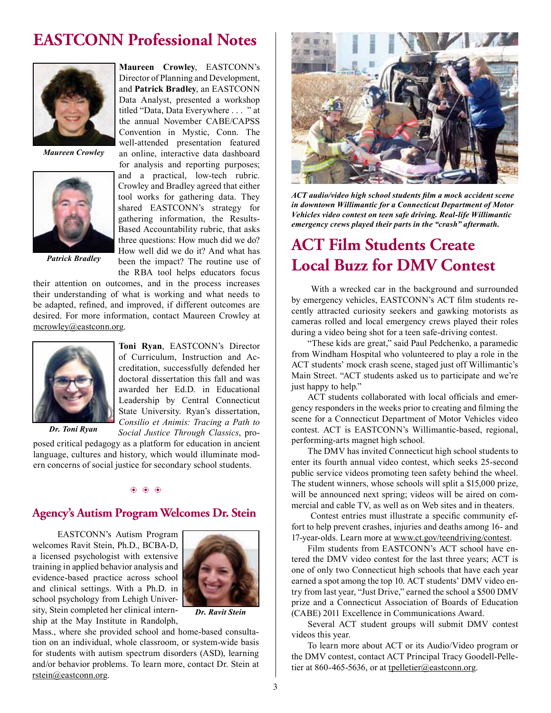## **EASTCONN Professional Notes**



*Maureen Crowley*



*Patrick Bradley*

Director of Planning and Development, and **Patrick Bradley**, an EASTCONN Data Analyst, presented a workshop titled "Data, Data Everywhere . . . " at the annual November CABE/CAPSS Convention in Mystic, Conn. The well-attended presentation featured an online, interactive data dashboard for analysis and reporting purposes; and a practical, low-tech rubric. Crowley and Bradley agreed that either tool works for gathering data. They shared EASTCONN's strategy for gathering information, the Results-Based Accountability rubric, that asks three questions: How much did we do? How well did we do it? And what has been the impact? The routine use of the RBA tool helps educators focus

their attention on outcomes, and in the process increases their understanding of what is working and what needs to be adapted, refned, and improved, if different outcomes are desired. For more information, contact Maureen Crowley at [mcrowley@eastconn.org](mailto:mcrowley%40eastconn.org?subject=).



**Toni Ryan**, EASTCONN's Director of Curriculum, Instruction and Accreditation, successfully defended her doctoral dissertation this fall and was awarded her Ed.D. in Educational Leadership by Central Connecticut State University. Ryan's dissertation, *Consilio et Animis: Tracing a Path to Social Justice Through Classics*, pro-

*Dr. Toni Ryan*

posed critical pedagogy as a platform for education in ancient language, cultures and history, which would illuminate modern concerns of social justice for secondary school students.

 $\circledast$   $\circledast$   $\circledast$ 

#### **Agency's Autism Program Welcomes Dr. Stein**

 EASTCONN's Autism Program welcomes Ravit Stein, Ph.D., BCBA-D, a licensed psychologist with extensive training in applied behavior analysis and evidence-based practice across school and clinical settings. With a Ph.D. in school psychology from Lehigh University, Stein completed her clinical internship at the May Institute in Randolph,



*Dr. Ravit Stein*

Mass., where she provided school and home-based consultation on an individual, whole classroom, or system-wide basis for students with autism spectrum disorders (ASD), learning and/or behavior problems. To learn more, contact Dr. Stein at [rstein@eastconn.org](mailto:rstein%40eastconn.org?subject=).



*ACT audio/video high school students flm a mock accident scene in downtown Willimantic for a Connecticut Department of Motor Vehicles video contest on teen safe driving. Real-life Willimantic emergency crews played their parts in the "crash" aftermath.* 

# **ACT Film Students Create Local Buzz for DMV Contest**

 With a wrecked car in the background and surrounded by emergency vehicles, EASTCONN's ACT flm students recently attracted curiosity seekers and gawking motorists as cameras rolled and local emergency crews played their roles during a video being shot for a teen safe-driving contest.

"These kids are great," said Paul Pedchenko, a paramedic from Windham Hospital who volunteered to play a role in the ACT students' mock crash scene, staged just off Willimantic's Main Street. "ACT students asked us to participate and we're just happy to help."

ACT students collaborated with local officials and emergency responders in the weeks prior to creating and flming the scene for a Connecticut Department of Motor Vehicles video contest. ACT is EASTCONN's Willimantic-based, regional, performing-arts magnet high school.

The DMV has invited Connecticut high school students to enter its fourth annual video contest, which seeks 25-second public service videos promoting teen safety behind the wheel. The student winners, whose schools will split a \$15,000 prize, will be announced next spring; videos will be aired on commercial and cable TV, as well as on Web sites and in theaters.

 Contest entries must illustrate a specifc community effort to help prevent crashes, injuries and deaths among 16- and 17-year-olds. Learn more at [www.ct.gov/teendriving/contest.](www.ct.gov/teendriving/contest)

Film students from EASTCONN's ACT school have entered the DMV video contest for the last three years; ACT is one of only two Connecticut high schools that have each year earned a spot among the top 10. ACT students' DMV video entry from last year, "Just Drive," earned the school a \$500 DMV prize and a Connecticut Association of Boards of Education (CABE) 2011 Excellence in Communications Award.

Several ACT student groups will submit DMV contest videos this year.

To learn more about ACT or its Audio/Video program or the DMV contest, contact ACT Principal Tracy Goodell-Pelletier at 860-465-5636, or at [tpelletier@eastconn.org.](mailto:tpelletier%40eastconn.org?subject=)